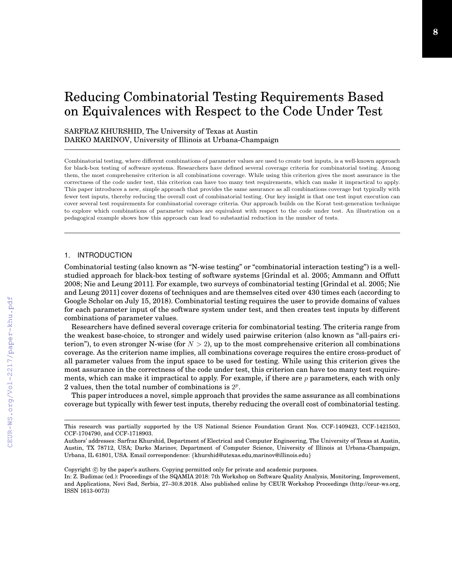# Reducing Combinatorial Testing Requirements Based on Equivalences with Respect to the Code Under Test

# SARFRAZ KHURSHID, The University of Texas at Austin DARKO MARINOV, University of Illinois at Urbana-Champaign

Combinatorial testing, where different combinations of parameter values are used to create test inputs, is a well-known approach for black-box testing of software systems. Researchers have defined several coverage criteria for combinatorial testing. Among them, the most comprehensive criterion is all combinations coverage. While using this criterion gives the most assurance in the correctness of the code under test, this criterion can have too many test requirements, which can make it impractical to apply. This paper introduces a new, simple approach that provides the same assurance as all combinations coverage but typically with fewer test inputs, thereby reducing the overall cost of combinatorial testing. Our key insight is that one test input execution can cover several test requirements for combinatorial coverage criteria. Our approach builds on the Korat test-generation technique to explore which combinations of parameter values are equivalent with respect to the code under test. An illustration on a pedagogical example shows how this approach can lead to substantial reduction in the number of tests.

## 1. INTRODUCTION

Combinatorial testing (also known as "N-wise testing" or "combinatorial interaction testing") is a wellstudied approach for black-box testing of software systems [Grindal et al. 2005; Ammann and Offutt 2008; Nie and Leung 2011]. For example, two surveys of combinatorial testing [Grindal et al. 2005; Nie and Leung 2011] cover dozens of techniques and are themselves cited over 430 times each (according to Google Scholar on July 15, 2018). Combinatorial testing requires the user to provide domains of values for each parameter input of the software system under test, and then creates test inputs by different combinations of parameter values.

Researchers have defined several coverage criteria for combinatorial testing. The criteria range from the weakest base-choice, to stronger and widely used pairwise criterion (also known as "all-pairs criterion"), to even stronger N-wise (for  $N > 2$ ), up to the most comprehensive criterion all combinations coverage. As the criterion name implies, all combinations coverage requires the entire cross-product of all parameter values from the input space to be used for testing. While using this criterion gives the most assurance in the correctness of the code under test, this criterion can have too many test requirements, which can make it impractical to apply. For example, if there are  $p$  parameters, each with only 2 values, then the total number of combinations is  $2^p$ .

This paper introduces a novel, simple approach that provides the same assurance as all combinations coverage but typically with fewer test inputs, thereby reducing the overall cost of combinatorial testing.

This research was partially supported by the US National Science Foundation Grant Nos. CCF-1409423, CCF-1421503, CCF-1704790, and CCF-1718903.

Authors' addresses: Sarfraz Khurshid, Department of Electrical and Computer Engineering, The University of Texas at Austin, Austin, TX 78712, USA; Darko Marinov, Department of Computer Science, University of Illinois at Urbana-Champaign, Urbana, IL 61801, USA. Email correspondence: {khurshid@utexas.edu,marinov@illinois.edu}

Copyright  $\circled{c}$  by the paper's authors. Copying permitted only for private and academic purposes.

In: Z. Budimac (ed.): Proceedings of the SQAMIA 2018: 7th Workshop on Software Quality Analysis, Monitoring, Improvement, and Applications, Novi Sad, Serbia, 27–30.8.2018. Also published online by CEUR Workshop Proceedings (http://ceur-ws.org, ISSN 1613-0073)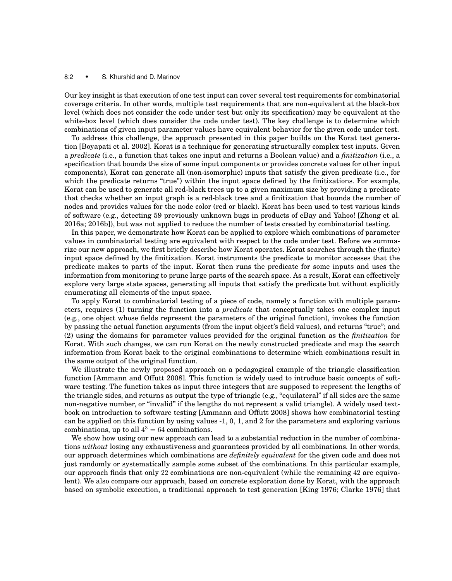#### 8:2 • S. Khurshid and D. Marinov

Our key insight is that execution of one test input can cover several test requirements for combinatorial coverage criteria. In other words, multiple test requirements that are non-equivalent at the black-box level (which does not consider the code under test but only its specification) may be equivalent at the white-box level (which does consider the code under test). The key challenge is to determine which combinations of given input parameter values have equivalent behavior for the given code under test.

To address this challenge, the approach presented in this paper builds on the Korat test generation [Boyapati et al. 2002]. Korat is a technique for generating structurally complex test inputs. Given a *predicate* (i.e., a function that takes one input and returns a Boolean value) and a *finitization* (i.e., a specification that bounds the size of some input components or provides concrete values for other input components), Korat can generate all (non-isomorphic) inputs that satisfy the given predicate (i.e., for which the predicate returns "true") within the input space defined by the finitizations. For example, Korat can be used to generate all red-black trees up to a given maximum size by providing a predicate that checks whether an input graph is a red-black tree and a finitization that bounds the number of nodes and provides values for the node color (red or black). Korat has been used to test various kinds of software (e.g., detecting 59 previously unknown bugs in products of eBay and Yahoo! [Zhong et al. 2016a; 2016b]), but was not applied to reduce the number of tests created by combinatorial testing.

In this paper, we demonstrate how Korat can be applied to explore which combinations of parameter values in combinatorial testing are equivalent with respect to the code under test. Before we summarize our new approach, we first briefly describe how Korat operates. Korat searches through the (finite) input space defined by the finitization. Korat instruments the predicate to monitor accesses that the predicate makes to parts of the input. Korat then runs the predicate for some inputs and uses the information from monitoring to prune large parts of the search space. As a result, Korat can effectively explore very large state spaces, generating all inputs that satisfy the predicate but without explicitly enumerating all elements of the input space.

To apply Korat to combinatorial testing of a piece of code, namely a function with multiple parameters, requires (1) turning the function into a *predicate* that conceptually takes one complex input (e.g., one object whose fields represent the parameters of the original function), invokes the function by passing the actual function arguments (from the input object's field values), and returns "true"; and (2) using the domains for parameter values provided for the original function as the *finitization* for Korat. With such changes, we can run Korat on the newly constructed predicate and map the search information from Korat back to the original combinations to determine which combinations result in the same output of the original function.

We illustrate the newly proposed approach on a pedagogical example of the triangle classification function [Ammann and Offutt 2008]. This function is widely used to introduce basic concepts of software testing. The function takes as input three integers that are supposed to represent the lengths of the triangle sides, and returns as output the type of triangle (e.g., "equilateral" if all sides are the same non-negative number, or "invalid" if the lengths do not represent a valid triangle). A widely used textbook on introduction to software testing [Ammann and Offutt 2008] shows how combinatorial testing can be applied on this function by using values -1, 0, 1, and 2 for the parameters and exploring various combinations, up to all  $4^3 = 64$  combinations.

We show how using our new approach can lead to a substantial reduction in the number of combinations *without* losing any exhaustiveness and guarantees provided by all combinations. In other words, our approach determines which combinations are *definitely equivalent* for the given code and does not just randomly or systematically sample some subset of the combinations. In this particular example, our approach finds that only 22 combinations are non-equivalent (while the remaining 42 are equivalent). We also compare our approach, based on concrete exploration done by Korat, with the approach based on symbolic execution, a traditional approach to test generation [King 1976; Clarke 1976] that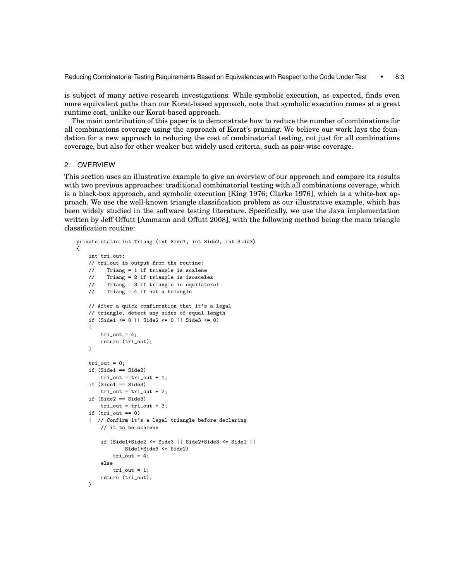Reducing Combinatorial Testing Requirements Based on Equivalences with Respect to the Code Under Test • 8:3

is subject of many active research investigations. While symbolic execution, as expected, finds even more equivalent paths than our Korat-based approach, note that symbolic execution comes at a great runtime cost, unlike our Korat-based approach.

The main contribution of this paper is to demonstrate how to reduce the number of combinations for all combinations coverage using the approach of Korat's pruning. We believe our work lays the foundation for a new approach to reducing the cost of combinatorial testing, not just for all combinations coverage, but also for other weaker but widely used criteria, such as pair-wise coverage.

## 2. OVERVIEW

This section uses an illustrative example to give an overview of our approach and compare its results with two previous approaches: traditional combinatorial testing with all combinations coverage, which is a black-box approach, and symbolic execution [King 1976; Clarke 1976], which is a white-box approach. We use the well-known triangle classification problem as our illustrative example, which has been widely studied in the software testing literature. Specifically, we use the Java implementation written by Jeff Offutt [Ammann and Offutt 2008], with the following method being the main triangle classification routine:

```
private static int Triang (int Side1, int Side2, int Side3)
{
    int tri_out;
    // tri_out is output from the routine:
   // Triang = 1 if triangle is scalene
   // Triang = 2 if triangle is isosceles
   // Triang = 3 if triangle is equilateral
    // Triang = 4 if not a triangle
   // After a quick confirmation that it's a legal
   // triangle, detect any sides of equal length
   if (Side1 <= 0 || Side2 <= 0 || Side3 <= 0)
   {
       tri_ut = 4;
       return (tri_out);
   }
    tri_out = 0:
   if (Side1 == Side2)
       tri_out = tri_out + 1;
    if (Side1 == Side3)
       tri_out = tri_out + 2;
    if (Side2 == Side3)
        tri_ out = tri_out + 3;
    if (tri_out == 0){ // Confirm it's a legal triangle before declaring
        // it to be scalene
        if (Side1+Side2 <= Side3 || Side2+Side3 <= Side1 ||
               Side1+Side3 <= Side2)
            tri_out = 4;else
           tri_out = 1;
       return (tri_out);
   }
```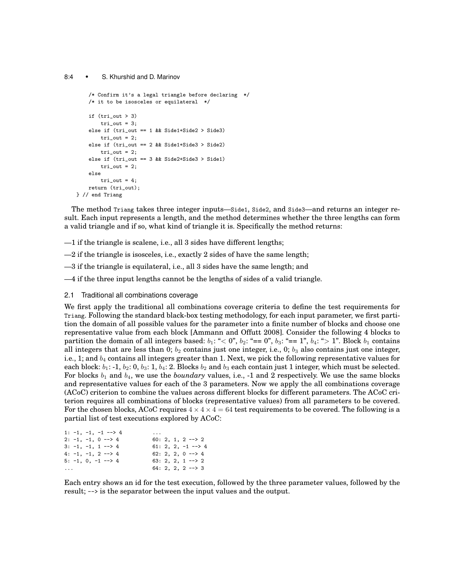#### 8:4 • S. Khurshid and D. Marinov

```
/* Confirm it's a legal triangle before declaring */
    /* it to be isosceles or equilateral */
    if (tri_out > 3)
        tri_ut = 3;
    else if (tri_out == 1 && Side1+Side2 > Side3)
       tri_ = 2;else if (tri_out == 2 && Side1+Side3 > Side2)
        tri_ut = 2;
    else if (tri_out == 3 && Side2+Side3 > Side1)
        tri_ut = 2;
    else
        tri_ out = 4;return (tri_out);
} // end Triang
```
The method Triang takes three integer inputs—Side1, Side2, and Side3—and returns an integer result. Each input represents a length, and the method determines whether the three lengths can form a valid triangle and if so, what kind of triangle it is. Specifically the method returns:

—1 if the triangle is scalene, i.e., all 3 sides have different lengths;

 $-2$  if the triangle is isosceles, i.e., exactly 2 sides of have the same length;

—3 if the triangle is equilateral, i.e., all 3 sides have the same length; and

—4 if the three input lengths cannot be the lengths of sides of a valid triangle.

2.1 Traditional all combinations coverage

We first apply the traditional all combinations coverage criteria to define the test requirements for Triang. Following the standard black-box testing methodology, for each input parameter, we first partition the domain of all possible values for the parameter into a finite number of blocks and choose one representative value from each block [Ammann and Offutt 2008]. Consider the following 4 blocks to partition the domain of all integers based:  $b_1: \ll 0$ ",  $b_2: \ll 0$ ",  $b_3: \ll 1$ ",  $b_4: \ll 1$ ". Block  $b_1$  contains all integers that are less than 0;  $b_2$  contains just one integer, i.e., 0;  $b_3$  also contains just one integer, i.e., 1; and  $b_4$  contains all integers greater than 1. Next, we pick the following representative values for each block:  $b_1$ : -1,  $b_2$ : 0,  $b_3$ : 1,  $b_4$ : 2. Blocks  $b_2$  and  $b_3$  each contain just 1 integer, which must be selected. For blocks  $b_1$  and  $b_4$ , we use the *boundary* values, i.e., -1 and 2 respectively. We use the same blocks and representative values for each of the 3 parameters. Now we apply the all combinations coverage (ACoC) criterion to combine the values across different blocks for different parameters. The ACoC criterion requires all combinations of blocks (representative values) from all parameters to be covered. For the chosen blocks, ACoC requires  $4 \times 4 \times 4 = 64$  test requirements to be covered. The following is a partial list of test executions explored by ACoC:

| 1: $-1$ , $-1$ , $-1$ $-5$ 4     | .                             |
|----------------------------------|-------------------------------|
| $2: -1, -1, 0 \rightarrow 4$     | $60: 2, 1, 2 \rightarrow 2$   |
| $3: -1, -1, 1 \longrightarrow 4$ | 61: 2, 2, $-1$ $\leftarrow$ 4 |
| $4: -1, -1, 2 \rightarrow 4$     | $62: 2, 2, 0 \rightarrow 4$   |
| $5: -1, 0, -1 \longrightarrow 4$ | $63: 2, 2, 1 \rightarrow 2$   |
| $\cdots$                         | $64: 2, 2, 2 \rightarrow 3$   |
|                                  |                               |

Each entry shows an id for the test execution, followed by the three parameter values, followed by the result; --> is the separator between the input values and the output.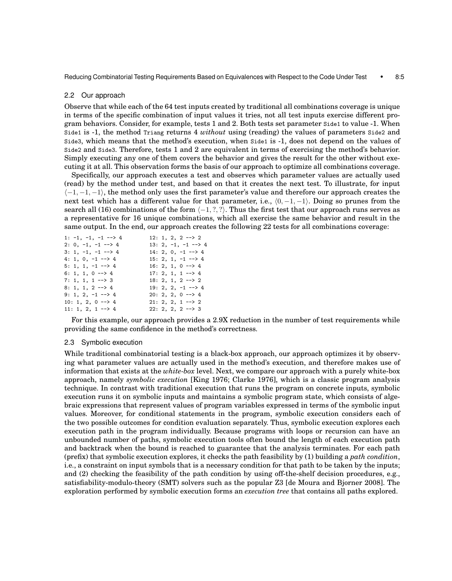Reducing Combinatorial Testing Requirements Based on Equivalences with Respect to the Code Under Test • 8:5

#### 2.2 Our approach

Observe that while each of the 64 test inputs created by traditional all combinations coverage is unique in terms of the specific combination of input values it tries, not all test inputs exercise different program behaviors. Consider, for example, tests 1 and 2. Both tests set parameter Side1 to value -1. When Side1 is -1, the method Triang returns 4 *without* using (reading) the values of parameters Side2 and Side3, which means that the method's execution, when Side1 is -1, does not depend on the values of Side2 and Side3. Therefore, tests 1 and 2 are equivalent in terms of exercising the method's behavior. Simply executing any one of them covers the behavior and gives the result for the other without executing it at all. This observation forms the basis of our approach to optimize all combinations coverage.

Specifically, our approach executes a test and observes which parameter values are actually used (read) by the method under test, and based on that it creates the next test. To illustrate, for input  $\langle -1, -1, -1 \rangle$ , the method only uses the first parameter's value and therefore our approach creates the next test which has a different value for that parameter, i.e.,  $(0, -1, -1)$ . Doing so prunes from the search all (16) combinations of the form  $\langle -1, ?, ? \rangle$ . Thus the first test that our approach runs serves as a representative for 16 unique combinations, which all exercise the same behavior and result in the same output. In the end, our approach creates the following 22 tests for all combinations coverage:

| $1: -1. -1. -1 -2$               | $12: 1, 2, 2 \rightarrow 2$       |
|----------------------------------|-----------------------------------|
| $2: 0, -1, -1 \longrightarrow 4$ | $13: 2, -1, -1 \longrightarrow 4$ |
| $3: 1, -1, -1 \rightarrow 4$     | $14: 2, 0, -1$ --> 4              |
| 4: 1, 0, $-1$ --> 4              | $15: 2, 1, -1 \rightarrow 4$      |
| 5: 1, 1, $-1$ $-$ > 4            | $16: 2, 1, 0 \rightarrow 4$       |
| 6: 1, 1, 0 --> 4                 | $17: 2, 1, 1 \rightarrow 4$       |
| $7: 1, 1, 1 \longrightarrow 3$   | $18: 2, 1, 2 \rightarrow 2$       |
| $8: 1, 1, 2 \rightarrow 4$       | $19: 2, 2, -1$ --> 4              |
| 9: 1, 2, $-1$ --> 4              | $20: 2, 2, 0 \rightarrow 4$       |
| $10: 1, 2, 0 \rightarrow 4$      | $21: 2, 2, 1 \rightarrow 2$       |
| $11: 1, 2, 1 \rightarrow 4$      | $22: 2, 2, 2 \longrightarrow 3$   |

For this example, our approach provides a 2.9X reduction in the number of test requirements while providing the same confidence in the method's correctness.

#### 2.3 Symbolic execution

While traditional combinatorial testing is a black-box approach, our approach optimizes it by observing what parameter values are actually used in the method's execution, and therefore makes use of information that exists at the *white-box* level. Next, we compare our approach with a purely white-box approach, namely *symbolic execution* [King 1976; Clarke 1976], which is a classic program analysis technique. In contrast with traditional execution that runs the program on concrete inputs, symbolic execution runs it on symbolic inputs and maintains a symbolic program state, which consists of algebraic expressions that represent values of program variables expressed in terms of the symbolic input values. Moreover, for conditional statements in the program, symbolic execution considers each of the two possible outcomes for condition evaluation separately. Thus, symbolic execution explores each execution path in the program individually. Because programs with loops or recursion can have an unbounded number of paths, symbolic execution tools often bound the length of each execution path and backtrack when the bound is reached to guarantee that the analysis terminates. For each path (prefix) that symbolic execution explores, it checks the path feasibility by (1) building a *path condition*, i.e., a constraint on input symbols that is a necessary condition for that path to be taken by the inputs; and (2) checking the feasibility of the path condition by using off-the-shelf decision procedures, e.g., satisfiability-modulo-theory (SMT) solvers such as the popular Z3 [de Moura and Bjorner 2008]. The exploration performed by symbolic execution forms an *execution tree* that contains all paths explored.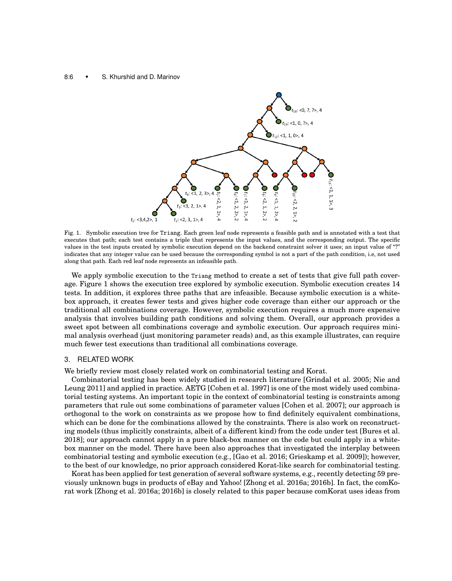#### 8:6 • S. Khurshid and D. Marinov



Fig. 1. Symbolic execution tree for Triang. Each green leaf node represents a feasible path and is annotated with a test that executes that path; each test contains a triple that represents the input values, and the corresponding output. The specific values in the test inputs created by symbolic execution depend on the backend constraint solver it uses; an input value of "?" indicates that any integer value can be used because the corresponding symbol is not a part of the path condition, i.e, not used along that path. Each red leaf node represents an infeasible path.

We apply symbolic execution to the Triang method to create a set of tests that give full path coverage. Figure 1 shows the execution tree explored by symbolic execution. Symbolic execution creates 14 tests. In addition, it explores three paths that are infeasible. Because symbolic execution is a whitebox approach, it creates fewer tests and gives higher code coverage than either our approach or the traditional all combinations coverage. However, symbolic execution requires a much more expensive analysis that involves building path conditions and solving them. Overall, our approach provides a sweet spot between all combinations coverage and symbolic execution. Our approach requires minimal analysis overhead (just monitoring parameter reads) and, as this example illustrates, can require much fewer test executions than traditional all combinations coverage.

#### 3. RELATED WORK

We briefly review most closely related work on combinatorial testing and Korat.

Combinatorial testing has been widely studied in research literature [Grindal et al. 2005; Nie and Leung 2011] and applied in practice. AETG [Cohen et al. 1997] is one of the most widely used combinatorial testing systems. An important topic in the context of combinatorial testing is constraints among parameters that rule out some combinations of parameter values [Cohen et al. 2007]; our approach is orthogonal to the work on constraints as we propose how to find definitely equivalent combinations, which can be done for the combinations allowed by the constraints. There is also work on reconstructing models (thus implicitly constraints, albeit of a different kind) from the code under test [Bures et al. 2018]; our approach cannot apply in a pure black-box manner on the code but could apply in a whitebox manner on the model. There have been also approaches that investigated the interplay between combinatorial testing and symbolic execution (e.g., [Gao et al. 2016; Grieskamp et al. 2009]); however, to the best of our knowledge, no prior approach considered Korat-like search for combinatorial testing.

Korat has been applied for test generation of several software systems, e.g., recently detecting 59 previously unknown bugs in products of eBay and Yahoo! [Zhong et al. 2016a; 2016b]. In fact, the comKorat work [Zhong et al. 2016a; 2016b] is closely related to this paper because comKorat uses ideas from